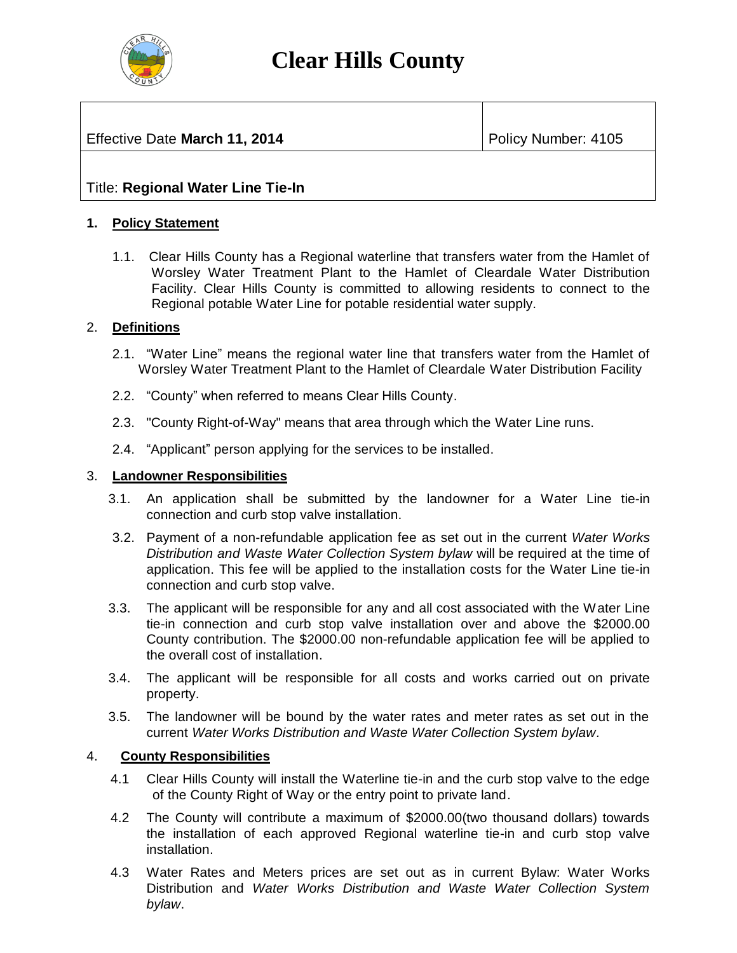

# **Clear Hills County**

# **Effective Date March 11, 2014** Policy Number: 4105

# Title: **Regional Water Line Tie-In**

### **1. Policy Statement**

1.1. Clear Hills County has a Regional waterline that transfers water from the Hamlet of Worsley Water Treatment Plant to the Hamlet of Cleardale Water Distribution Facility. Clear Hills County is committed to allowing residents to connect to the Regional potable Water Line for potable residential water supply.

#### 2. **Definitions**

- 2.1. "Water Line" means the regional water line that transfers water from the Hamlet of Worsley Water Treatment Plant to the Hamlet of Cleardale Water Distribution Facility
- 2.2. "County" when referred to means Clear Hills County.
- 2.3. "County Right-of-Way" means that area through which the Water Line runs.
- 2.4. "Applicant" person applying for the services to be installed.

#### 3. **Landowner Responsibilities**

- 3.1. An application shall be submitted by the landowner for a Water Line tie-in connection and curb stop valve installation.
- 3.2. Payment of a non-refundable application fee as set out in the current *Water Works Distribution and Waste Water Collection System bylaw* will be required at the time of application. This fee will be applied to the installation costs for the Water Line tie-in connection and curb stop valve.
- 3.3. The applicant will be responsible for any and all cost associated with the Water Line tie-in connection and curb stop valve installation over and above the \$2000.00 County contribution. The \$2000.00 non-refundable application fee will be applied to the overall cost of installation.
- 3.4. The applicant will be responsible for all costs and works carried out on private property.
- 3.5. The landowner will be bound by the water rates and meter rates as set out in the current *Water Works Distribution and Waste Water Collection System bylaw.*

#### 4. **County Responsibilities**

- 4.1 Clear Hills County will install the Waterline tie-in and the curb stop valve to the edge of the County Right of Way or the entry point to private land.
- 4.2 The County will contribute a maximum of \$2000.00(two thousand dollars) towards the installation of each approved Regional waterline tie-in and curb stop valve installation.
- 4.3 Water Rates and Meters prices are set out as in current Bylaw: Water Works Distribution and *Water Works Distribution and Waste Water Collection System bylaw*.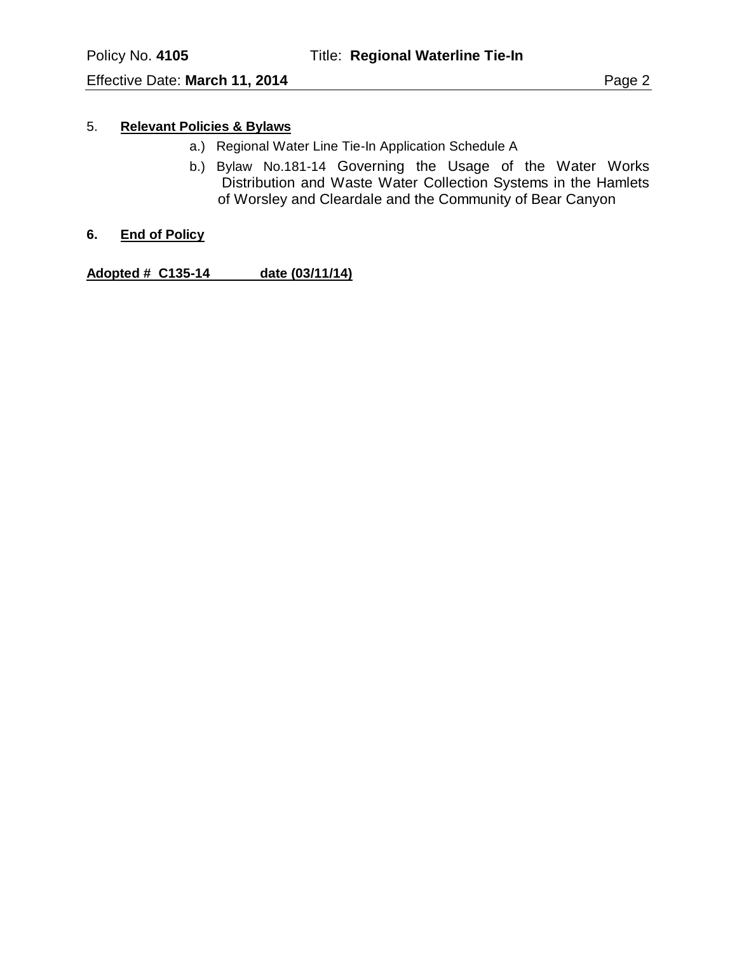## 5. **Relevant Policies & Bylaws**

- a.) Regional Water Line Tie-In Application Schedule A
- b.) Bylaw No.181-14 Governing the Usage of the Water Works Distribution and Waste Water Collection Systems in the Hamlets of Worsley and Cleardale and the Community of Bear Canyon
- **6. End of Policy**

**Adopted # C135-14 date (03/11/14)**